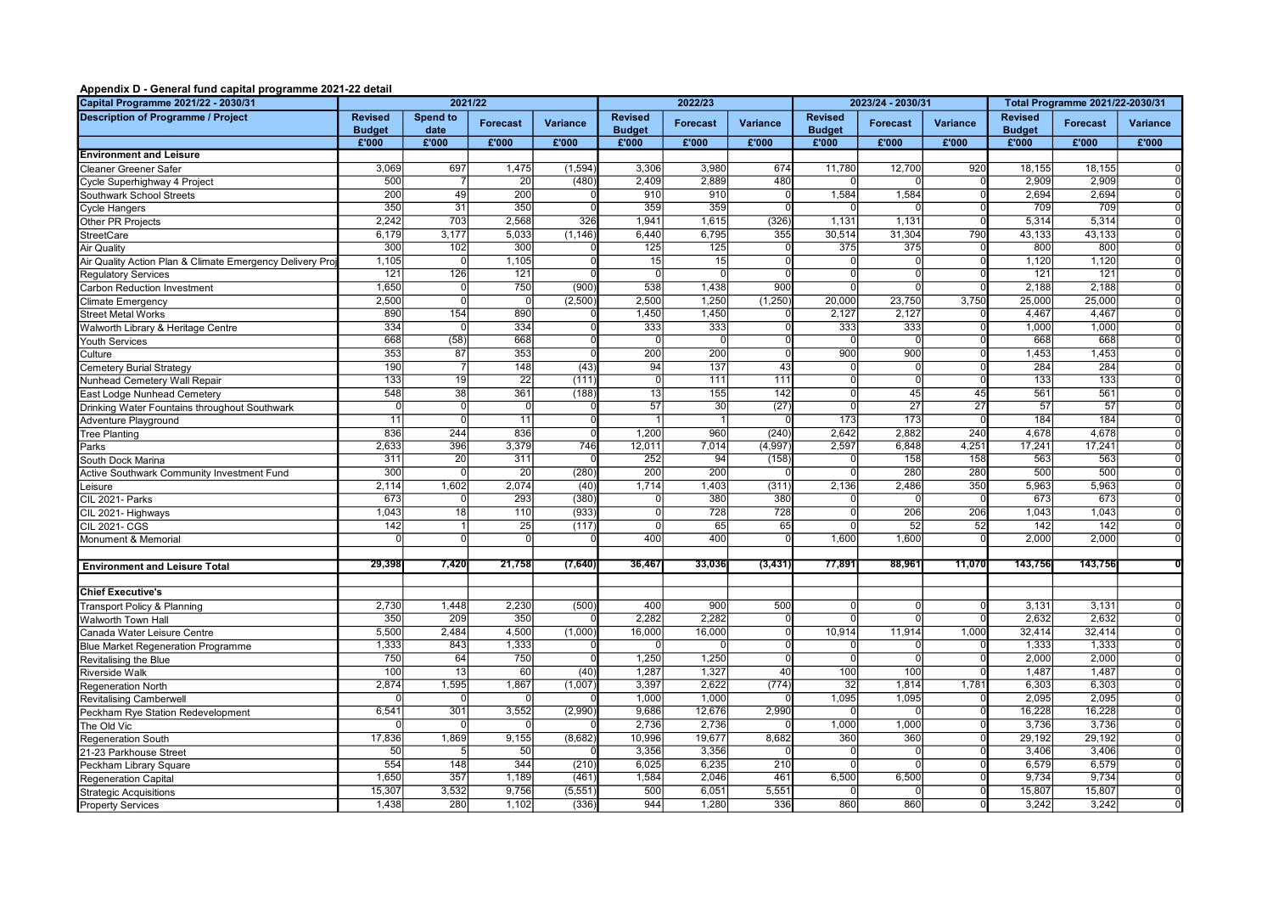## Appendix D - General fund capital programme 2021-22 detail

| Capital Programme 2021/22 - 2030/31                      | 2021/22                         |                  |                  | 2022/23  |                                 |                  |                 | 2023/24 - 2030/31               |                 | Total Programme 2021/22-2030/31 |                                 |                           |                 |
|----------------------------------------------------------|---------------------------------|------------------|------------------|----------|---------------------------------|------------------|-----------------|---------------------------------|-----------------|---------------------------------|---------------------------------|---------------------------|-----------------|
| <b>Description of Programme / Project</b>                | <b>Revised</b><br><b>Budget</b> | Spend to<br>date | <b>Forecast</b>  | Variance | <b>Revised</b><br><b>Budget</b> | <b>Forecast</b>  | Variance        | <b>Revised</b><br><b>Budget</b> | <b>Forecast</b> | <b>Variance</b>                 | <b>Revised</b><br><b>Budget</b> | <b>Forecast</b>           | <b>Variance</b> |
|                                                          | £'000                           | £'000            | £'000            | £'000    | £'000                           | £'000            | £'000           | £'000                           | £'000           | £'000                           | £'000                           | £'000                     | £'000           |
| <b>Environment and Leisure</b>                           |                                 |                  |                  |          |                                 |                  |                 |                                 |                 |                                 |                                 |                           |                 |
| <b>Cleaner Greener Safer</b>                             | 3,069                           | 697              | 1,475            | (1, 594) | 3,306                           | 3,980            | 674             | 11,780                          | 12,700          | 920                             | 18,155                          | 18,155                    |                 |
| Cycle Superhighway 4 Project                             | 500                             | 7                | 20               | (480)    | 2,409                           | 2,889            | 480             | $\Omega$                        |                 |                                 | 2,909                           | 2,909                     |                 |
| Southwark School Streets                                 | $\overline{200}$                | 49               | $\overline{200}$ |          | $\overline{910}$                | $\overline{910}$ |                 | 1,584                           | 1,584           |                                 | 2,694                           | 2.694                     |                 |
| <b>Cycle Hangers</b>                                     | 350                             | $\overline{31}$  | 350              |          | 359                             | 359              |                 |                                 |                 |                                 | 709                             | 709                       |                 |
| Other PR Projects                                        | 2,242                           | 703              | 2,568            | 326      | 1,941                           | 1,615            | (326)           | 1,131                           | 1,131           |                                 | 5,314                           | 5,314                     |                 |
| <b>StreetCare</b>                                        | 6,179                           | 3,177            | 5,033            | (1, 146) | 6,440                           | 6,795            | 355             | 30,514                          | 31,304          | 790                             | 43,133                          | 43,133                    |                 |
| <b>Air Quality</b>                                       | 300                             | 102              | 300              |          | 125                             | 125              |                 | 375                             | 375             |                                 | 800                             | 80 <sup>°</sup>           |                 |
| Air Quality Action Plan & Climate Emergency Delivery Pro | 1,105                           | $\Omega$         | 1,105            |          | 15                              | 15               |                 | ŋ                               |                 |                                 | 1,120                           | 1,120                     |                 |
| <b>Regulatory Services</b>                               | 121                             | 126              | 121              |          | $\overline{0}$                  | $\cap$           |                 | $\Omega$                        | $\Omega$        |                                 | 121                             | 121                       |                 |
| <b>Carbon Reduction Investment</b>                       | 1,650                           | $\Omega$         | 750              | (900)    | 538                             | 1,438            | 900             | 0l                              | $\Omega$        |                                 | 2,188                           | 2,188                     |                 |
| <b>Climate Emergency</b>                                 | 2,500                           | $\overline{0}$   | $\Omega$         | (2,500)  | 2,500                           | 1,250            | (1, 250)        | 20,000                          | 23,750          | 3,750                           | 25,000                          | 25,000                    |                 |
| <b>Street Metal Works</b>                                | 890                             | 154              | 890              |          | 1,450                           | 1.450            |                 | 2,127                           | 2.127           |                                 | 4.467                           | 4.467                     |                 |
| Walworth Library & Heritage Centre                       | 334                             |                  | 334              |          | 333                             | 333              |                 | 333                             | 333             |                                 | 1,000                           | 1,000                     |                 |
| <b>Youth Services</b>                                    | 668                             | (58)             | 668              |          | $\Omega$                        | $\Omega$         |                 | $\Omega$                        |                 |                                 | 668                             | 668                       |                 |
| Culture                                                  | 353                             | 87               | 353              |          | 200                             | 200              |                 | 900                             | 900             |                                 | 1,453                           | 1,453                     |                 |
| <b>Cemetery Burial Strategy</b>                          | 190                             | $\overline{7}$   | 148              | (43)     | 94                              | 137              | $\overline{43}$ | $\Omega$                        | $\Omega$        |                                 | 284                             | 284                       |                 |
| Nunhead Cemetery Wall Repair                             | 133                             | 19               | $\overline{22}$  | (111)    | $\overline{0}$                  | 111              | 111             | $\Omega$                        | $\Omega$        |                                 | 133                             | 133                       |                 |
| East Lodge Nunhead Cemetery                              | 548                             | $\overline{38}$  | 361              | (188)    | $\overline{13}$                 | 155              | 142             | -ol                             | 45              | 45                              | 561                             | 561                       | $\overline{0}$  |
| Drinking Water Fountains throughout Southwark            | $\Omega$                        | ō                | $\mathbf 0$      |          | $\overline{57}$                 | 30               | (27)            | $\Omega$                        | $\overline{27}$ | $\overline{27}$                 | $\overline{57}$                 | 57                        |                 |
| Adventure Playground                                     | $\overline{11}$                 | $\overline{0}$   | $\overline{11}$  |          |                                 |                  |                 | 173                             | 173             |                                 | 184                             | 184                       |                 |
| <b>Tree Planting</b>                                     | 836                             | 244              | 836              |          | 1,200                           | 960              | (240)           | 2.642                           | 2.882           | 240                             | 4.678                           | 4.678                     |                 |
| Parks                                                    | 2,633                           | 396              | 3,379            | 746      | 12,011                          | 7,014            | (4,997)         | 2,597                           | 6,848           | 4,251                           | 17,241                          | 17,241                    |                 |
| South Dock Marina                                        | 311                             | 20               | 311              |          | 252                             | 94               | (158)           | 0                               | 158             | 158                             | 563                             | 563                       |                 |
| Active Southwark Community Investment Fund               | $\overline{300}$                | $\overline{0}$   | $\overline{20}$  | (280)    | $\frac{200}{ }$                 | $\overline{200}$ |                 | $\overline{0}$                  | 280             | 280                             | 500                             | $\overline{500}$          |                 |
| Leisure                                                  | 2,114                           | 1,602            | 2,074            | (40)     | 1,714                           | 1,403            | (311)           | 2,136                           | 2,486           | 350                             | 5,963                           | 5.963                     |                 |
| CIL 2021- Parks                                          | 673                             | $\Omega$         | 293              | (380)    | $\Omega$                        | 380              | 380             | <sup>n</sup>                    | $\Omega$        |                                 | 673                             | 673                       |                 |
| CIL 2021- Highways                                       | 1,043                           | $\overline{18}$  | 110              | (933)    | $\overline{0}$                  | 728              | 728             | $\overline{0}$                  | 206             | 206                             | 1,043                           | 1,043<br>$\overline{142}$ |                 |
| <b>CIL 2021- CGS</b>                                     | 142                             | $\Omega$         | 25<br>$\Omega$   | (117)    | $\Omega$<br>400                 | 65<br>400        | 65              |                                 | 52              | 52                              | 142                             |                           |                 |
| Monument & Memorial                                      |                                 |                  |                  |          |                                 |                  |                 | 1,600                           | 1,600           |                                 | 2,000                           | 2,000                     |                 |
|                                                          | 29,398                          | 7,420            | 21,758           | (7, 640) | 36,467                          | 33,036           | (3, 431)        | 77,891                          | 88,961          | 11,070                          | 143,756                         | 143,756                   |                 |
| <b>Environment and Leisure Total</b>                     |                                 |                  |                  |          |                                 |                  |                 |                                 |                 |                                 |                                 |                           |                 |
| <b>Chief Executive's</b>                                 |                                 |                  |                  |          |                                 |                  |                 |                                 |                 |                                 |                                 |                           |                 |
| <b>Transport Policy &amp; Planning</b>                   | 2,730                           | 1,448            | 2,230            | (500)    | 400                             | 900              | 500             | $\Omega$                        |                 |                                 | 3,131                           | 3,131                     |                 |
| Walworth Town Hall                                       | 350                             | 209              | 350              |          | 2,282                           | 2,282            |                 | <sup>0</sup>                    | <sup>n</sup>    |                                 | 2,632                           | 2,632                     | $\Omega$        |
| Canada Water Leisure Centre                              | 5,500                           | 2,484            | 4,500            | (1,000)  | 16,000                          | 16,000           |                 | 10,914                          | 11,914          | 1,000                           | 32,414                          | 32,414                    |                 |
| <b>Blue Market Regeneration Programme</b>                | 1,333                           | 843              | 1,333            |          | $\Omega$                        |                  |                 |                                 |                 |                                 | 1,333                           | 1,333                     |                 |
| Revitalising the Blue                                    | 750                             | 64               | 750              |          | 1,250                           | 1,250            |                 | $\Omega$                        |                 |                                 | 2,000                           | 2.000                     |                 |
| <b>Riverside Walk</b>                                    | 100                             | $\overline{13}$  | 60               | (40)     | 1,287                           | 1,327            | 40              | 100                             | 100             |                                 | 1,487                           | 1,487                     |                 |
| Regeneration North                                       | 2,874                           | 1,595            | 1,867            | (1,007)  | 3,397                           | 2,622            | (774)           | $\overline{32}$                 | 1,814           | 1,781                           | 6,303                           | 6,303                     |                 |
| <b>Revitalising Camberwell</b>                           |                                 |                  | $\Omega$         |          | 1,000                           | 1,000            |                 | 1,095                           | 1,095           |                                 | 2,095                           | 2,095                     |                 |
| Peckham Rye Station Redevelopment                        | 6,541                           | 301              | 3,552            | (2,990)  | 9.686                           | 12.676           | 2,990           |                                 |                 |                                 | 16.228                          | 16.228                    |                 |
| The Old Vic                                              |                                 |                  |                  |          | 2,736                           | 2,736            |                 | 1,000                           | 1,000           |                                 | 3,736                           | 3,736                     |                 |
| <b>Regeneration South</b>                                | 17,836                          | 1,869            | 9,155            | (8,682)  | 10,996                          | 19,677           | 8,682           | 360                             | 360             |                                 | 29,192                          | 29,192                    |                 |
| 21-23 Parkhouse Street                                   | 50                              | 5                | 50               |          | 3,356                           | 3,356            |                 | 0                               | $\Omega$        |                                 | 3,406                           | 3,406                     |                 |
| Peckham Library Square                                   | 554                             | 148              | 344              | (210)    | 6,025                           | 6.235            | 210             | $\Omega$                        |                 |                                 | 6.579                           | 6.579                     |                 |
| <b>Regeneration Capital</b>                              | 1,650                           | 357              | 1,189            | (461)    | 1,584                           | 2,046            | 461             | 6,500                           | 6,500           |                                 | 9,734                           | 9,734                     |                 |
| <b>Strategic Acquisitions</b>                            | 15,307                          | 3,532            | 9,756            | (5, 551) | 500                             | 6,051            | 5,551           | $\Omega$                        | $\Omega$        |                                 | 15,807                          | 15,807                    | $\Omega$        |
| <b>Property Services</b>                                 | 1,438                           | 280              | 1,102            | (336)    | 944                             | 1,280            | 336             | 860                             | 860             | $\Omega$                        | 3,242                           | 3,242                     |                 |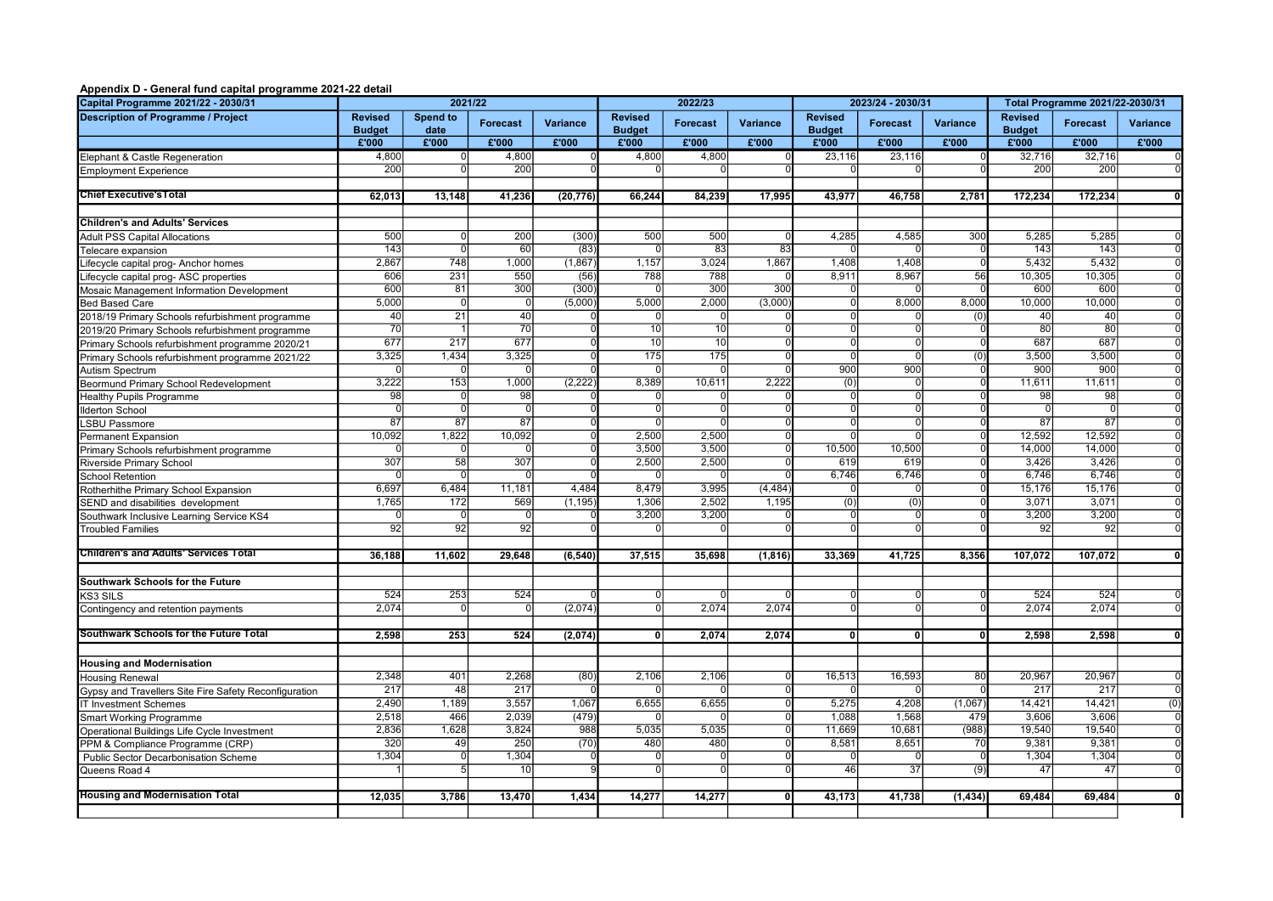## Appendix D - General fund capital programme 2021-22 detail

| Capital Programme 2021/22 - 2030/31                                  | 2021/22                         |                                  |                      | 2022/23   |                                 |                 |                 | 2023/24 - 2030/31                |                 | Total Programme 2021/22-2030/31 |                                 |                |                 |
|----------------------------------------------------------------------|---------------------------------|----------------------------------|----------------------|-----------|---------------------------------|-----------------|-----------------|----------------------------------|-----------------|---------------------------------|---------------------------------|----------------|-----------------|
| <b>Description of Programme / Project</b>                            | <b>Revised</b><br><b>Budget</b> | Spend to<br>date                 | <b>Forecast</b>      | Variance  | <b>Revised</b><br><b>Budget</b> | <b>Forecast</b> | Variance        | <b>Revised</b><br><b>Budget</b>  | Forecast        | Variance                        | <b>Revised</b><br><b>Budget</b> | Forecast       | <b>Variance</b> |
|                                                                      | £'000                           | £'000                            | £'000                | £'000     | £'000                           | £'000           | £'000           | £'000                            | £'000           | £'000                           | £'000                           | £'000          | £'000           |
| Elephant & Castle Regeneration                                       | 4,800                           | 0                                | 4,800                |           | 4,800                           | 4,800           |                 | 23,116                           | 23,116          |                                 | 32,716                          | 32,716         | 0               |
| <b>Employment Experience</b>                                         | 200                             |                                  | 200                  |           |                                 |                 |                 |                                  |                 |                                 | 200                             | 200            |                 |
|                                                                      |                                 |                                  |                      |           |                                 |                 |                 |                                  |                 |                                 |                                 |                |                 |
| <b>Chief Executive's Total</b>                                       | 62,013                          | 13,148                           | 41,236               | (20, 776) | 66,244                          | 84,239          | 17,995          | 43,977                           | 46,758          | 2,781                           | 172,234                         | 172,234        |                 |
|                                                                      |                                 |                                  |                      |           |                                 |                 |                 |                                  |                 |                                 |                                 |                |                 |
| <b>Children's and Adults' Services</b>                               |                                 |                                  |                      |           |                                 |                 |                 |                                  |                 |                                 |                                 |                |                 |
| <b>Adult PSS Capital Allocations</b>                                 | 500                             | $\Omega$                         | 200                  | (300)     | 500                             | 500             |                 | 4,285                            | 4,585           | 300                             | 5,285                           | 5,285          |                 |
| Telecare expansion                                                   | 143                             | $\overline{0}$                   | 60                   | (83)      | -01                             | $\overline{83}$ | $\overline{83}$ | $\Omega$                         |                 |                                 | 143                             | 143            |                 |
| Lifecycle capital prog- Anchor homes                                 | 2,867                           | 748                              | 1,000                | (1, 867)  | 1,157                           | 3,024           | 1,867           | 1,408                            | 1,408           |                                 | 5,432                           | 5,432          |                 |
| Lifecycle capital prog- ASC properties                               | 606                             | 231                              | 550                  | (56)      | 788                             | 788             |                 | 8.911                            | 8,967           | 56                              | 10,305                          | 10.305         |                 |
| Mosaic Management Information Development                            | 600                             | 81                               | 300                  | (300)     | $\Omega$                        | 300             | 30 <sub>C</sub> | O                                |                 |                                 | 600                             | 600            |                 |
| <b>Bed Based Care</b>                                                | 5,000                           | $\overline{0}$                   | $\overline{0}$       | (5,000)   | 5,000                           | 2,000           | (3,000)         | $\overline{0}$                   | 8,000           | 8,000                           | 10,000                          | 10,000         |                 |
| 2018/19 Primary Schools refurbishment programme                      | 40                              | 21                               | 40                   |           | 0l                              | $\Omega$        |                 | 0l                               |                 | (0)                             | 40                              | 40             |                 |
| 2019/20 Primary Schools refurbishment programme                      | 70                              |                                  | 70                   |           | 10                              | 10              |                 | $\overline{0}$                   |                 |                                 | 80                              | 80             |                 |
| Primary Schools refurbishment programme 2020/21                      | 677                             | 217                              | 677                  |           | 10                              | 10              |                 | $\Omega$                         |                 |                                 | 687                             | 687            |                 |
| Primary Schools refurbishment programme 2021/22                      | 3,325                           | 1,434                            | 3,325                |           | 175                             | 175             |                 | $\overline{0}$                   | 0l              | (0)                             | 3,500                           | 3,500          | $\Omega$        |
| Autism Spectrum                                                      |                                 | $\overline{0}$                   | $\Omega$             |           | 0l                              | $\Omega$        |                 | 900                              | 900             |                                 | 900                             | 900            |                 |
| Beormund Primary School Redevelopment                                | 3,222                           | 153                              | 1,000                | (2,222)   | 8,389                           | 10,611          | 2,222           | (0)                              | $\Omega$        |                                 | 11,611                          | 11,611         |                 |
| <b>Healthy Pupils Programme</b>                                      | 98<br>$\overline{0}$            | $\overline{0}$<br>$\overline{0}$ | 98<br>$\overline{0}$ |           |                                 | $\overline{0}$  |                 | $\overline{0}$<br>$\overline{0}$ | $\Omega$        |                                 | 98<br>$\Omega$                  | 98<br>$\Omega$ | $\overline{0}$  |
| <b>Ilderton School</b>                                               |                                 |                                  |                      |           | $\Omega$                        | $\Omega$        |                 | <sup>0</sup>                     | $\Omega$        |                                 |                                 |                |                 |
| <b>LSBU Passmore</b>                                                 | 87<br>10,092                    | 87<br>1,822                      | 87<br>10,092         |           | 0 <br>2,500                     | 2,500           |                 | $\overline{0}$                   |                 |                                 | 87<br>12,592                    | 87<br>12,592   |                 |
| <b>Permanent Expansion</b>                                           |                                 |                                  |                      |           | 3,500                           | 3,500           |                 | 10,500                           | 10,500          |                                 | 14,000                          | 14,000         |                 |
| Primary Schools refurbishment programme                              | 307                             | 58                               | 307                  |           | 2,500                           | 2,500           |                 | 619                              | 619             |                                 | 3,426                           | 3,426          |                 |
| Riverside Primary School                                             |                                 | $\overline{0}$                   | $\overline{0}$       |           | 0l                              | $\Omega$        |                 | 6,746                            | 6,746           |                                 | 6,746                           | 6,746          |                 |
| <b>School Retention</b>                                              | 6,697                           | 6,484                            | 11,181               | 4.484     | 8,479                           | 3,995           | (4, 484)        | $\Omega$                         |                 |                                 | 15,176                          | 15,176         |                 |
| Rotherhithe Primary School Expansion                                 | 1,765                           | 172                              | 569                  | (1, 195)  | 1,306                           | 2,502           | 1,195           | (0)                              | (0)             |                                 | 3,071                           | 3,071          |                 |
| SEND and disabilities development                                    | $\Omega$                        | $\Omega$                         | $\Omega$             |           | 3,200                           | 3.200           |                 | <sup>0</sup>                     | $\Omega$        |                                 | 3,200                           | 3,200          | $\Omega$        |
| Southwark Inclusive Learning Service KS4<br><b>Troubled Families</b> | 92                              | 92                               | 92                   |           |                                 |                 |                 | $\Omega$                         | $\Omega$        |                                 | 92                              | 92             |                 |
|                                                                      |                                 |                                  |                      |           |                                 |                 |                 |                                  |                 |                                 |                                 |                |                 |
| <b>Children's and Adults' Services Total</b>                         | 36,188                          | 11,602                           | 29,648               | (6, 540)  | 37,515                          | 35,698          | (1, 816)        | 33,369                           | 41,725          | 8.356                           | 107,072                         | 107.072        |                 |
|                                                                      |                                 |                                  |                      |           |                                 |                 |                 |                                  |                 |                                 |                                 |                |                 |
| Southwark Schools for the Future                                     |                                 |                                  |                      |           |                                 |                 |                 |                                  |                 |                                 |                                 |                |                 |
| KS3 SILS                                                             | 524                             | 253                              | 524                  |           | 0l                              |                 |                 | $\Omega$                         |                 |                                 | 524                             | 524            |                 |
| Contingency and retention payments                                   | 2,074                           |                                  | $\Omega$             | (2,074)   | $\overline{0}$                  | 2,074           | 2,074           | $\overline{0}$                   |                 |                                 | 2,074                           | 2,074          |                 |
| Southwark Schools for the Future Total                               | 2,598                           | 253                              | 524                  | (2,074)   | $\overline{0}$                  | 2,074           | 2,074           | $\overline{0}$                   | $\overline{0}$  | O                               | 2,598                           | 2,598          |                 |
|                                                                      |                                 |                                  |                      |           |                                 |                 |                 |                                  |                 |                                 |                                 |                |                 |
| <b>Housing and Modernisation</b>                                     |                                 |                                  |                      |           |                                 |                 |                 |                                  |                 |                                 |                                 |                |                 |
| <b>Housing Renewal</b>                                               | 2,348                           | 401                              | 2,268                | (80)      | 2,106                           | 2,106           |                 | 16,513                           | 16,593          | 80                              | 20,967                          | 20,967         | $\overline{0}$  |
| Gypsy and Travellers Site Fire Safety Reconfiguration                | 217                             | 48                               | 217                  |           | $\Omega$                        |                 |                 | n                                |                 |                                 | 217                             | 217            | $\Omega$        |
| <b>IT Investment Schemes</b>                                         | 2,490                           | 1,189                            | 3,557                | 1,067     | 6,655                           | 6,655           |                 | 5,275                            | 4,208           | (1,067)                         | 14,421                          | 14,421         | (0)             |
| <b>Smart Working Programme</b>                                       | 2,518                           | 466                              | 2,039                | (479)     | 0l                              | $\Omega$        |                 | 1,088                            | 1,568           | 479                             | 3,606                           | 3,606          | $\overline{0}$  |
| Operational Buildings Life Cycle Investment                          | 2,836                           | 1,628                            | 3,824                | 988       | 5,035                           | 5,035           |                 | 11,669                           | 10,681          | (988)                           | 19,540                          | 19,540         | $\overline{0}$  |
| PPM & Compliance Programme (CRP)                                     | 320                             | 49                               | 250                  | (70)      | 480                             | 480             |                 | 8,581                            | 8,651           | 70                              | 9,381                           | 9,381          | $\overline{0}$  |
| Public Sector Decarbonisation Scheme                                 | 1,304                           | ᅁ                                | 1,304                |           | 0l                              | $\vert$ 0       |                 | $\Omega$                         |                 | $\sqrt{ }$                      | 1,304                           | 1,304          | $\Omega$        |
| Queens Road 4                                                        |                                 | 5                                | 10                   |           | $\overline{0}$                  | $\overline{0}$  |                 | 46                               | $\overline{37}$ | (9)                             | 47                              | 47             |                 |
|                                                                      |                                 |                                  |                      |           |                                 |                 |                 |                                  |                 |                                 |                                 |                |                 |
| <b>Housing and Modernisation Total</b>                               | 12,035                          | 3,786                            | 13,470               | 1,434     | 14,277                          | 14,277          |                 | 43,173                           | 41,738          | (1, 434)                        | 69,484                          | 69,484         | $\mathbf{0}$    |
|                                                                      |                                 |                                  |                      |           |                                 |                 |                 |                                  |                 |                                 |                                 |                |                 |